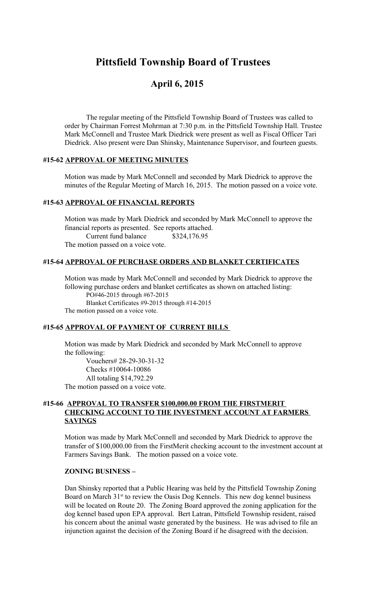# **Pittsfield Township Board of Trustees**

## **April 6, 2015**

The regular meeting of the Pittsfield Township Board of Trustees was called to order by Chairman Forrest Mohrman at 7:30 p.m. in the Pittsfield Township Hall. Trustee Mark McConnell and Trustee Mark Diedrick were present as well as Fiscal Officer Tari Diedrick. Also present were Dan Shinsky, Maintenance Supervisor, and fourteen guests.

## **#15-62 APPROVAL OF MEETING MINUTES**

Motion was made by Mark McConnell and seconded by Mark Diedrick to approve the minutes of the Regular Meeting of March 16, 2015. The motion passed on a voice vote.

#### **#15-63 APPROVAL OF FINANCIAL REPORTS**

Motion was made by Mark Diedrick and seconded by Mark McConnell to approve the financial reports as presented. See reports attached. Current fund balance \$324,176.95 The motion passed on a voice vote.

## **#15-64 APPROVAL OF PURCHASE ORDERS AND BLANKET CERTIFICATES**

Motion was made by Mark McConnell and seconded by Mark Diedrick to approve the following purchase orders and blanket certificates as shown on attached listing: PO#46-2015 through #67-2015 Blanket Certificates #9-2015 through #14-2015 The motion passed on a voice vote.

## **#15-65 APPROVAL OF PAYMENT OF CURRENT BILLS**

Motion was made by Mark Diedrick and seconded by Mark McConnell to approve the following:

 Vouchers# 28-29-30-31-32 Checks #10064-10086 All totaling \$14,792.29 The motion passed on a voice vote.

## **#15-66 APPROVAL TO TRANSFER \$100,000.00 FROM THE FIRSTMERIT CHECKING ACCOUNT TO THE INVESTMENT ACCOUNT AT FARMERS SAVINGS**

Motion was made by Mark McConnell and seconded by Mark Diedrick to approve the transfer of \$100,000.00 from the FirstMerit checking account to the investment account at Farmers Savings Bank. The motion passed on a voice vote.

#### **ZONING BUSINESS –**

Dan Shinsky reported that a Public Hearing was held by the Pittsfield Township Zoning Board on March 31<sup>st</sup> to review the Oasis Dog Kennels. This new dog kennel business will be located on Route 20. The Zoning Board approved the zoning application for the dog kennel based upon EPA approval. Bert Latran, Pittsfield Township resident, raised his concern about the animal waste generated by the business. He was advised to file an injunction against the decision of the Zoning Board if he disagreed with the decision.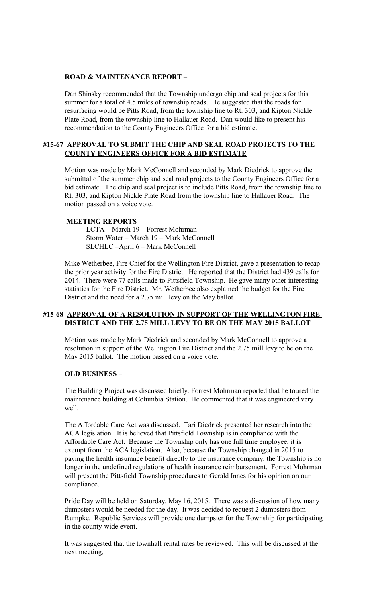#### **ROAD & MAINTENANCE REPORT –**

Dan Shinsky recommended that the Township undergo chip and seal projects for this summer for a total of 4.5 miles of township roads. He suggested that the roads for resurfacing would be Pitts Road, from the township line to Rt. 303, and Kipton Nickle Plate Road, from the township line to Hallauer Road. Dan would like to present his recommendation to the County Engineers Office for a bid estimate.

## **#15-67 APPROVAL TO SUBMIT THE CHIP AND SEAL ROAD PROJECTS TO THE COUNTY ENGINEERS OFFICE FOR A BID ESTIMATE**

Motion was made by Mark McConnell and seconded by Mark Diedrick to approve the submittal of the summer chip and seal road projects to the County Engineers Office for a bid estimate. The chip and seal project is to include Pitts Road, from the township line to Rt. 303, and Kipton Nickle Plate Road from the township line to Hallauer Road. The motion passed on a voice vote.

#### **MEETING REPORTS**

LCTA – March 19 – Forrest Mohrman Storm Water – March 19 – Mark McConnell SLCHLC –April 6 – Mark McConnell

Mike Wetherbee, Fire Chief for the Wellington Fire District, gave a presentation to recap the prior year activity for the Fire District. He reported that the District had 439 calls for 2014. There were 77 calls made to Pittsfield Township. He gave many other interesting statistics for the Fire District. Mr. Wetherbee also explained the budget for the Fire District and the need for a 2.75 mill levy on the May ballot.

## **#15-68 APPROVAL OF A RESOLUTION IN SUPPORT OF THE WELLINGTON FIRE DISTRICT AND THE 2.75 MILL LEVY TO BE ON THE MAY 2015 BALLOT**

Motion was made by Mark Diedrick and seconded by Mark McConnell to approve a resolution in support of the Wellington Fire District and the 2.75 mill levy to be on the May 2015 ballot. The motion passed on a voice vote.

## **OLD BUSINESS** –

The Building Project was discussed briefly. Forrest Mohrman reported that he toured the maintenance building at Columbia Station. He commented that it was engineered very well.

The Affordable Care Act was discussed. Tari Diedrick presented her research into the ACA legislation. It is believed that Pittsfield Township is in compliance with the Affordable Care Act. Because the Township only has one full time employee, it is exempt from the ACA legislation. Also, because the Township changed in 2015 to paying the health insurance benefit directly to the insurance company, the Township is no longer in the undefined regulations of health insurance reimbursement. Forrest Mohrman will present the Pittsfield Township procedures to Gerald Innes for his opinion on our compliance.

Pride Day will be held on Saturday, May 16, 2015. There was a discussion of how many dumpsters would be needed for the day. It was decided to request 2 dumpsters from Rumpke. Republic Services will provide one dumpster for the Township for participating in the county-wide event.

It was suggested that the townhall rental rates be reviewed. This will be discussed at the next meeting.